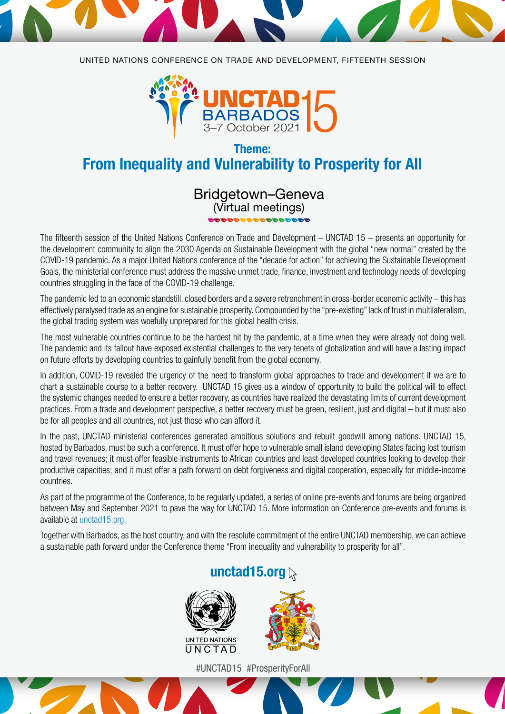

UNITED NATIONS CONFERENCE ON TRADE AND DEVELOPMENT, FIFTEENTH SESSION



### Theme: From Inequality and Vulnerability to Prosperity for All

# Bridgetown–Geneva (Virtual meetings)

The fifteenth session of the United Nations Conference on Trade and Development – UNCTAD 15 – presents an opportunity for the development community to align the 2030 Agenda on Sustainable Development with the global "new normal" created by the COVID-19 pandemic. As a major United Nations conference of the "decade for action" for achieving the Sustainable Development Goals, the ministerial conference must address the massive unmet trade, finance, investment and technology needs of developing countries struggling in the face of the COVID-19 challenge.

The pandemic led to an economic standstill, closed borders and a severe retrenchment in cross-border economic activity – this has effectively paralysed trade as an engine for sustainable prosperity. Compounded by the "pre-existing" lack of trust in multilateralism, the global trading system was woefully unprepared for this global health crisis.

The most vulnerable countries continue to be the hardest hit by the pandemic, at a time when they were already not doing well. The pandemic and its fallout have exposed existential challenges to the very tenets of globalization and will have a lasting impact on future efforts by developing countries to gainfully benefit from the global economy.

In addition, COVID-19 revealed the urgency of the need to transform global approaches to trade and development if we are to chart a sustainable course to a better recovery. UNCTAD 15 gives us a window of opportunity to build the political will to effect the systemic changes needed to ensure a better recovery, as countries have realized the devastating limits of current development practices. From a trade and development perspective, a better recovery must be green, resilient, just and digital – but it must also be for all peoples and all countries, not just those who can afford it.

In the past, UNCTAD ministerial conferences generated ambitious solutions and rebuilt goodwill among nations. UNCTAD 15, hosted by Barbados, must be such a conference. It must offer hope to vulnerable small island developing States facing lost tourism and travel revenues; it must offer feasible instruments to African countries and least developed countries looking to develop their productive capacities; and it must offer a path forward on debt forgiveness and digital cooperation, especially for middle-income countries.

As part of the programme of the Conference, to be regularly updated, a series of online pre-events and forums are being organized between May and September 2021 to pave the way for UNCTAD 15. More information on Conference pre-events and forums is available at [unctad15.org](http://unctad15.org).

Together with Barbados, as the host country, and with the resolute commitment of the entire UNCTAD membership, we can achieve a sustainable path forward under the Conference theme "From inequality and vulnerability to prosperity for all".

## [unctad15.org](http://unctad15.org)





#UNCTAD15 #ProsperityForAll